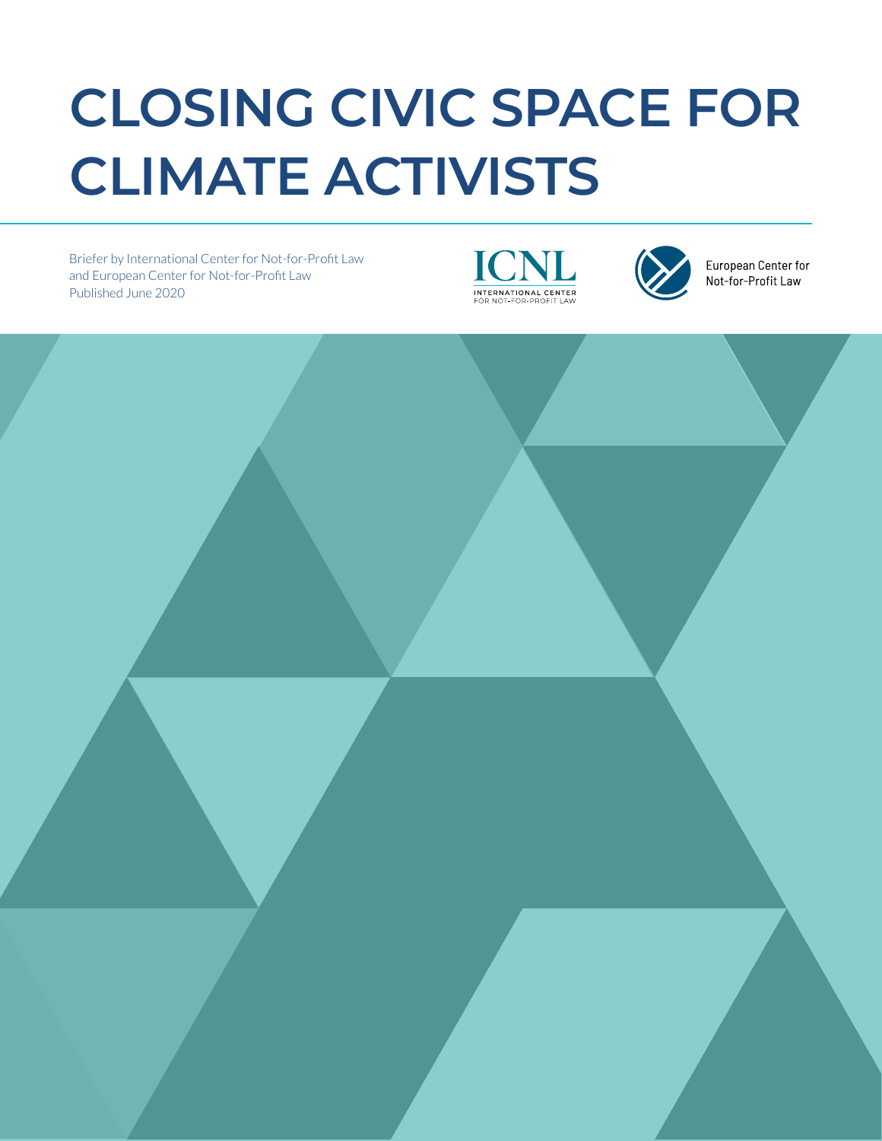# **CLOSING CIVIC SPACE FOR CLIMATE ACTIVISTS**

Briefer by International Center for Not-for-Profit Law and European Center for Not-for-Profit Law Published June 2020





European Center for Not-for-Profit Law

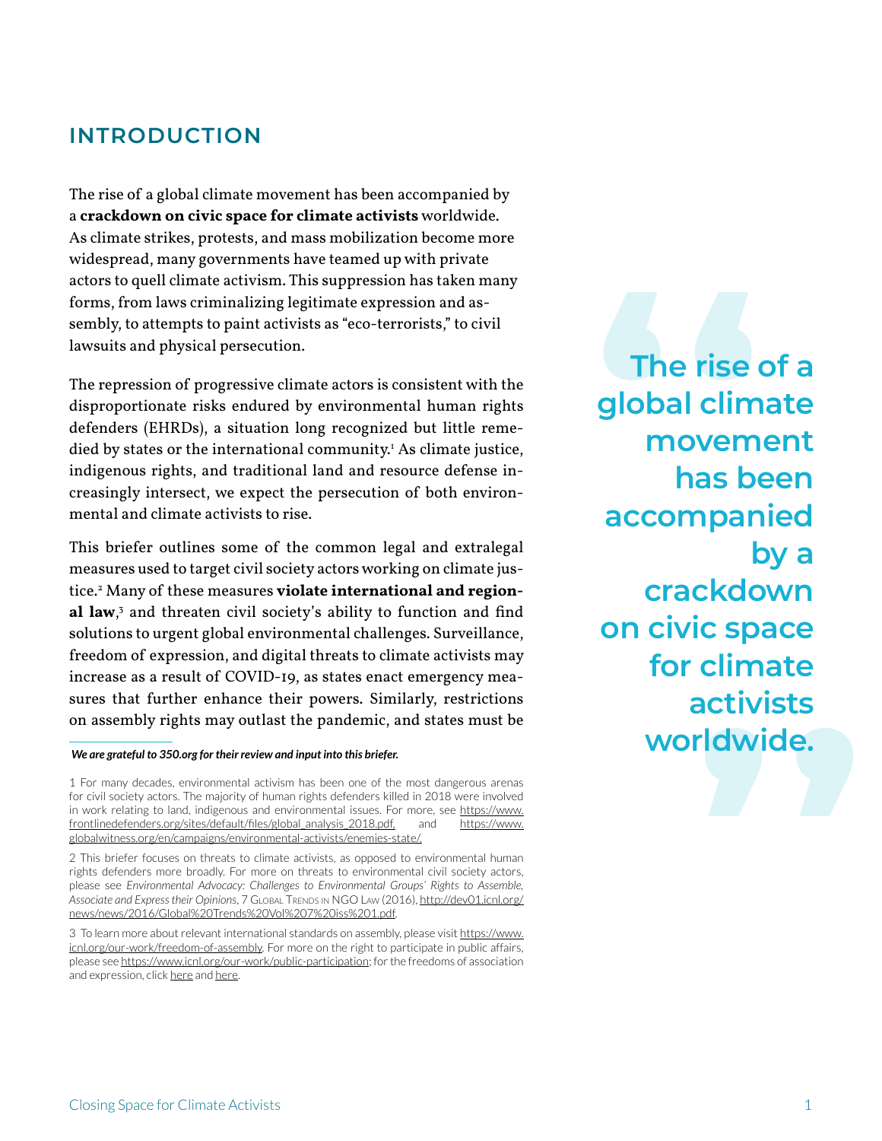## **INTRODUCTION**

The rise of a global climate movement has been accompanied by a **crackdown on civic space for climate activists** worldwide. As climate strikes, protests, and mass mobilization become more widespread, many governments have teamed up with private actors to quell climate activism. This suppression has taken many forms, from laws criminalizing legitimate expression and assembly, to attempts to paint activists as "eco-terrorists," to civil lawsuits and physical persecution.

The repression of progressive climate actors is consistent with the disproportionate risks endured by environmental human rights defenders (EHRDs), a situation long recognized but little remedied by states or the international community.1 As climate justice, indigenous rights, and traditional land and resource defense increasingly intersect, we expect the persecution of both environmental and climate activists to rise.

This briefer outlines some of the common legal and extralegal measures used to target civil society actors working on climate justice.2 Many of these measures **violate international and regional law**, 3 and threaten civil society's ability to function and find solutions to urgent global environmental challenges. Surveillance, freedom of expression, and digital threats to climate activists may increase as a result of COVID-19, as states enact emergency measures that further enhance their powers. Similarly, restrictions on assembly rights may outlast the pandemic, and states must be

#### *We are grateful to 350.org for their review and input into this briefer.*

1 For many decades, environmental activism has been one of the most dangerous arenas for civil society actors. The majority of human rights defenders killed in 2018 were involved in work relating to land, indigenous and environmental issues. For more, see [https://www.](https://www.frontlinedefenders.org/sites/default/files/global_analysis_2018.pdf) [frontlinedefenders.org/sites/default/files/global\\_analysis\\_2018.pdf,](https://www.frontlinedefenders.org/sites/default/files/global_analysis_2018.pdf) and [https://www.](https://www.globalwitness.org/en/campaigns/environmental-activists/enemies-state/) [globalwitness.org/en/campaigns/environmental-activists/enemies-state/](https://www.globalwitness.org/en/campaigns/environmental-activists/enemies-state/).

2 This briefer focuses on threats to climate activists, as opposed to environmental human rights defenders more broadly. For more on threats to environmental civil society actors, please see *Environmental Advocacy: Challenges to Environmental Groups' Rights to Assemble, Associate and Express their Opinions*, 7 Global Trends in NGO Law (2016), [http://dev01.icnl.org/](http://dev01.icnl.org/news/news/2016/Global%20Trends%20Vol%207%20iss%201.pdf) [news/news/2016/Global%20Trends%20Vol%207%20iss%201.pdf](http://dev01.icnl.org/news/news/2016/Global%20Trends%20Vol%207%20iss%201.pdf).

3 To learn more about relevant international standards on assembly, please visit [https://www.](https://www.icnl.org/our-work/freedom-of-assembly) [icnl.org/our-work/freedom-of-assembly](https://www.icnl.org/our-work/freedom-of-assembly). For more on the right to participate in public affairs, please see <https://www.icnl.org/our-work/public-participation>; for the freedoms of association and expression, click [here](https://www.icnl.org/our-work/freedom-of-association) and [here](https://www.icnl.org/our-work/freedom-of-association).

climate<br>ctivists<br>|dwide.<br>| The rise of a<br>global climate<br>movement<br>has been **global climate movement has been accompanied by a crackdown on civic space for climate activists worldwide.**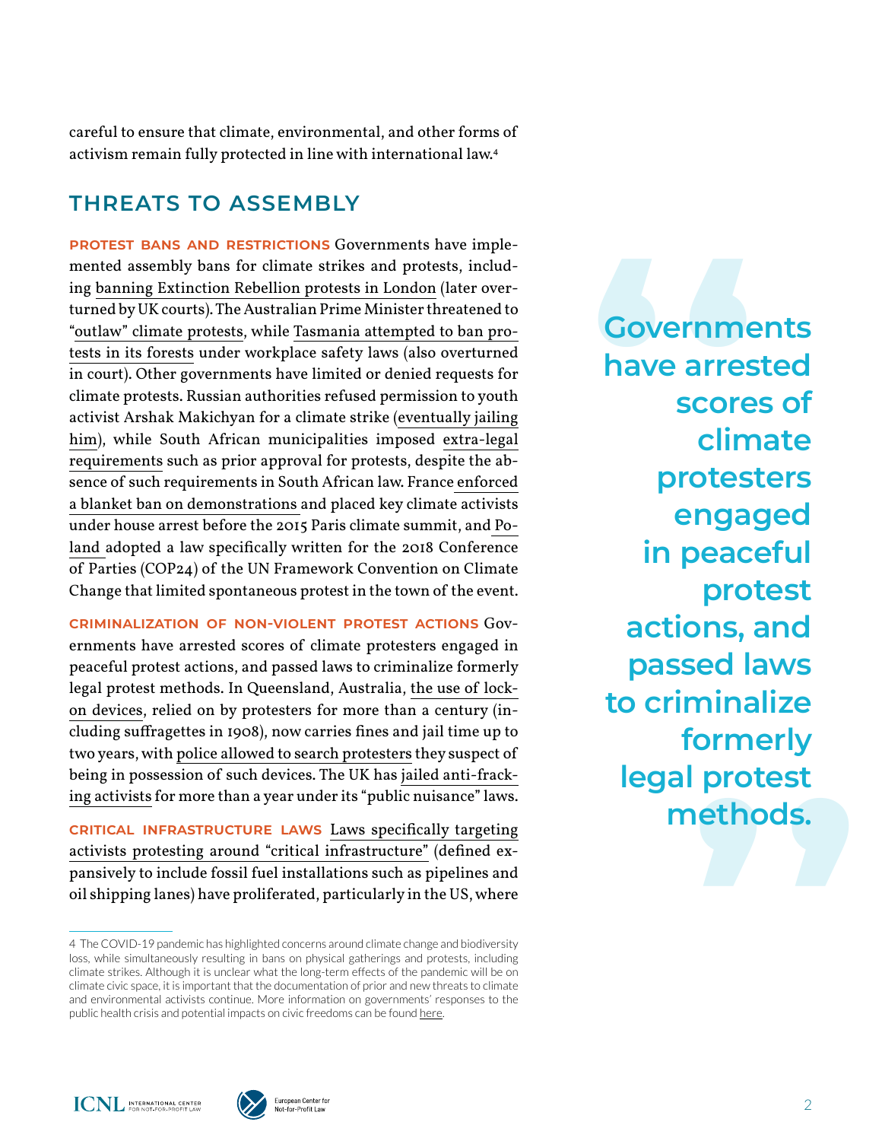careful to ensure that climate, environmental, and other forms of activism remain fully protected in line with international law.4

# **THREATS TO ASSEMBLY**

**Protest bans and restrictions** Governments have implemented assembly bans for climate strikes and protests, including [banning Extinction Rebellion protests in London](https://www.bbc.com/news/uk-50316561) (later overturned by UK courts). The Australian Prime Minister threatened to ["outlaw" climate protests,](https://www.dw.com/en/australian-pm-threatens-to-outlaw-climate-protests/a-51082768) while [Tasmania attempted to ban pro](https://www.theguardian.com/australia-news/2020/feb/26/bob-brown-foundation-activist-ban-on-protesting-in-tasmanian-forest-lifted-by-court)[tests in its forests](https://www.theguardian.com/australia-news/2020/feb/26/bob-brown-foundation-activist-ban-on-protesting-in-tasmanian-forest-lifted-by-court) under workplace safety laws (also overturned in court). Other governments have limited or denied requests for climate protests. Russian authorities refused permission to youth activist Arshak Makichyan for a climate strike [\(eventually jailing](https://www.theguardian.com/world/2019/dec/20/russian-climate-activist-inspired-by-thunberg-is-jailed)  [him\)](https://www.theguardian.com/world/2019/dec/20/russian-climate-activist-inspired-by-thunberg-is-jailed), while South African municipalities imposed [extra-legal](https://www.hrw.org/report/2019/04/16/we-know-our-lives-are-danger/environment-fear-south-africas-mining-affected)  [requirements](https://www.hrw.org/report/2019/04/16/we-know-our-lives-are-danger/environment-fear-south-africas-mining-affected) such as prior approval for protests, despite the absence of such requirements in South African law. France enforced [a blanket ban on demonstrations](https://www.theguardian.com/environment/2015/nov/27/paris-climate-activists-put-under-house-arrest-using-emergency-laws) and placed key climate activists under house arrest before the 2015 Paris climate summit, and [Po](https://www.business-humanrights.org/en/poland-un-experts-urge-govt-to-ensure-meaningful-civic-space-at-climate-talks-amid-concerns-over-law-limiting-protest-rights-0)land [adopted a law specifically written for the 2018 Conference](https://www.business-humanrights.org/en/poland-un-experts-urge-govt-to-ensure-meaningful-civic-space-at-climate-talks-amid-concerns-over-law-limiting-protest-rights-0) [of Parties \(COP24\) of the UN Framework Convention on Climate](https://www.business-humanrights.org/en/poland-un-experts-urge-govt-to-ensure-meaningful-civic-space-at-climate-talks-amid-concerns-over-law-limiting-protest-rights-0)  [Change that limited spontaneous protest in the town of the event.](https://www.business-humanrights.org/en/poland-un-experts-urge-govt-to-ensure-meaningful-civic-space-at-climate-talks-amid-concerns-over-law-limiting-protest-rights-0)

**Criminalization of non-violent protest actions** Governments have arrested scores of climate protesters engaged in peaceful protest actions, and passed laws to criminalize formerly legal protest methods. In Queensland, Australia, [the use of lock](https://www.theguardian.com/australia-news/2019/oct/24/queensland-parliament-passes-laws-to-crack-down-on-climate-protesters)[on devices](https://www.theguardian.com/australia-news/2019/oct/24/queensland-parliament-passes-laws-to-crack-down-on-climate-protesters), relied on by protesters for more than a century (including suffragettes in 1908), now carries fines and jail time up to two years, with [police allowed to search protesters](https://www.abc.net.au/news/2019-08-20/climate-protester-tactics-called-extremist-palaszczuk-government/11431336) they suspect of being in possession of such devices. The UK has [jailed anti-frack](https://www.independent.co.uk/environment/fracking-protesters-jailed-cuadrilla-little-plumpton-lancashire-shale-gas-drilling-a8556331.html)[ing activists](https://www.independent.co.uk/environment/fracking-protesters-jailed-cuadrilla-little-plumpton-lancashire-shale-gas-drilling-a8556331.html) for more than a year under its "public nuisance" laws.

**Critical infrastructure laws** [Laws specifically targeting](https://www.icnl.org/usprotestlawtracker/?location=&status=enacted&issue=&date=&type=legislative)  [activists protesting around "critical infrastructure"](https://www.icnl.org/usprotestlawtracker/?location=&status=enacted&issue=&date=&type=legislative) (defined expansively to include fossil fuel installations such as pipelines and oil shipping lanes) have proliferated, particularly in the US, where

ormerly<br>protest<br>ethods.<br>Allen Covernments<br>
have arrested<br>
scores of<br>
climate **have arrested scores of climate protesters engaged in peaceful protest actions, and passed laws to criminalize formerly legal protest methods.**





<sup>4</sup> The COVID-19 pandemic has highlighted concerns around climate change and biodiversity loss, while simultaneously resulting in bans on physical gatherings and protests, including climate strikes. Although it is unclear what the long-term effects of the pandemic will be on climate civic space, it is important that the documentation of prior and new threats to climate and environmental activists continue. More information on governments' responses to the public health crisis and potential impacts on civic freedoms can be found [here](https://www.icnl.org/coronavirus-response).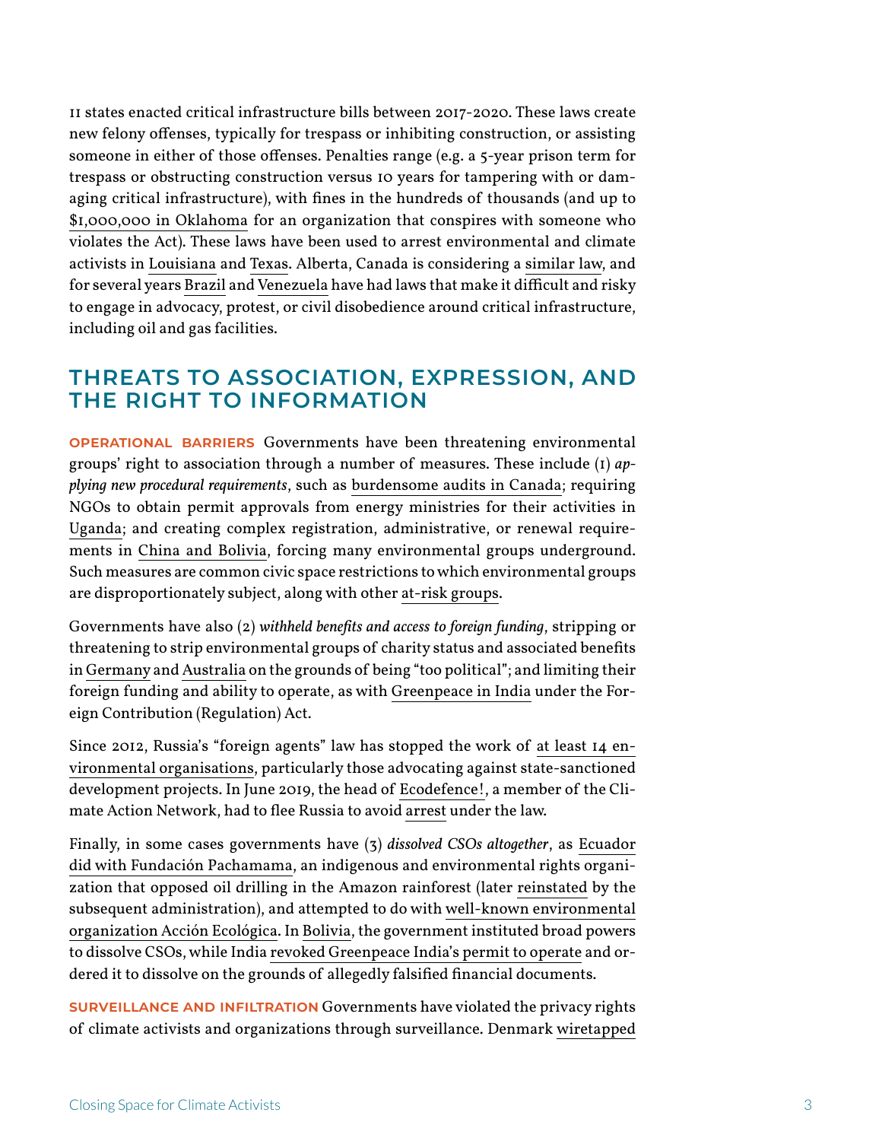11 states enacted critical infrastructure bills between 2017-2020. These laws create new felony offenses, typically for trespass or inhibiting construction, or assisting someone in either of those offenses. Penalties range (e.g. a 5-year prison term for trespass or obstructing construction versus 10 years for tampering with or damaging critical infrastructure), with fines in the hundreds of thousands (and up to [\\$1,000,000 in Oklahoma](http://webserver1.lsb.state.ok.us/cf_pdf/2017-18%20ENR/hB/HB1123%20ENR.PDF) for an organization that conspires with someone who violates the Act). These laws have been used to arrest environmental and climate activists in [Louisiana](https://theintercept.com/2018/08/22/recent-arrests-under-new-anti-protest-law-spotlight-risks-that-off-duty-cops-pose-to-pipeline-opponents/) and [Texas](https://www.npr.org/2019/09/25/763530303/activists-say-new-laws-to-protect-critical-infrastructure-aim-to-silence-them). Alberta, Canada is considering a [similar law,](https://www.theglobeandmail.com/canada/alberta/article-alberta-tables-bill-that-would-jail-pipeline-protesters-for-up-to-six/) and for several years [Brazil](http://www.planalto.gov.br/ccivil_03/_ato2015-2018/2016/lei/l13260.htm) and [Venezuela](http://www.controlciudadano.org/web/wp-content/uploads/Ley-Org%C3%A1nica-de-Seguridad-de-la-Naci%C3%B3n.pdf) have had laws that make it difficult and risky to engage in advocacy, protest, or civil disobedience around critical infrastructure, including oil and gas facilities.

#### **THREATS TO ASSOCIATION, EXPRESSION, AND THE RIGHT TO INFORMATION**

**Operational barriers** Governments have been threatening environmental groups' right to association through a number of measures. These include (1) *applying new procedural requirements*, such as [burdensome audits in Canada](https://www.cbc.ca/news/politics/7-environmental-charities-face-canada-revenue-agency-audits-1.2526330); requiring NGOs to obtain permit approvals from energy ministries for their activities in [Uganda;](https://www.hrw.org/report/2012/08/21/curtailing-criticism/intimidation-and-obstruction-civil-society-uganda) and creating complex registration, administrative, or renewal requirements in [China](https://reliefweb.int/sites/reliefweb.int/files/resources/ACT3096472019ENGLISH.PDF) and Bolivia, forcing many environmental groups underground. Such measures are common civic space restrictions to which environmental groups are disproportionately subject, along with other [at-risk groups](https://www.ohchr.org/Documents/Issues/FAssociation/A-HRC-26-29_en.pdf).

Governments have also (2) *withheld benefits and access to foreign funding*, stripping or threatening to strip environmental groups of charity status and associated benefits in [Germany](https://www.dw.com/en/german-tax-offices-target-charities-deemed-too-political/a-51420479) and [Australia](https://www.theguardian.com/environment/2014/jun/30/liberal-party-environmental-groups-charitable-status) on the grounds of being "too political"; and limiting their foreign funding and ability to operate, as with [Greenpeace in India](https://www.reuters.com/article/us-india-greenpeace/greenpeace-india-shuts-two-offices-cuts-staff-after-donations-row-idUSKCN1PR0BT) under the Foreign Contribution (Regulation) Act.

Since 2012, Russia's "foreign agents" law has stopped the work of [at least 14 en](https://www.hrw.org/news/2017/11/21/russia-year-ecology-sham)[vironmental organisations](https://www.hrw.org/news/2017/11/21/russia-year-ecology-sham), particularly those advocating against state-sanctioned development projects. In June 2019, the head of [Ecodefence!,](http://www.climatenetwork.org/category/tags/russia) a member of the Climate Action Network, had to flee Russia to avoid [arrest](https://www.hrw.org/news/2019/06/25/russia-environmentalist-faces-criminal-charges) under the law.

Finally, in some cases governments have (3) *dissolved CSOs altogether*, as [Ecuador](https://www.sierraclub.org/planet/2014/05/indigenous-amazonian-people-threatened-oil-drilling)  [did with Fundación Pachamama](https://www.sierraclub.org/planet/2014/05/indigenous-amazonian-people-threatened-oil-drilling), an indigenous and environmental rights organization that opposed oil drilling in the Amazon rainforest (later [reinstated](https://www.business-humanrights.org/en/ecuador-govt-decides-fundaci%C3%B3n-pachamama-closed-in-previous-administration-to-be-reinstated) by the subsequent administration), and attempted to do with [well-known environmental](https://www.theguardian.com/environment/andes-to-the-amazon/2017/jan/07/ecuadors-leading-environmental-group-fights-forced-closure)  [organization Acción Ecológica.](https://www.theguardian.com/environment/andes-to-the-amazon/2017/jan/07/ecuadors-leading-environmental-group-fights-forced-closure) In [Bolivia,](https://www.hrw.org/world-report/2020/country-chapters/bolivia) the government instituted broad powers to dissolve CSOs, while India [revoked Greenpeace India's permit to operate](https://www.reuters.com/article/us-india-greenpeace/india-orders-greenpeace-to-shut-down-over-fraud-idUSKCN0SV1OP20151106) and ordered it to dissolve on the grounds of allegedly falsified financial documents.

**Surveillance and infiltration** Governments have violated the privacy rights of climate activists and organizations through surveillance. Denmark [wiretapped](https://citizenlab.ca/2009/12/activists-reveal-tactics-used-by-police-to-decapitate-copenhagen-climate-protests/)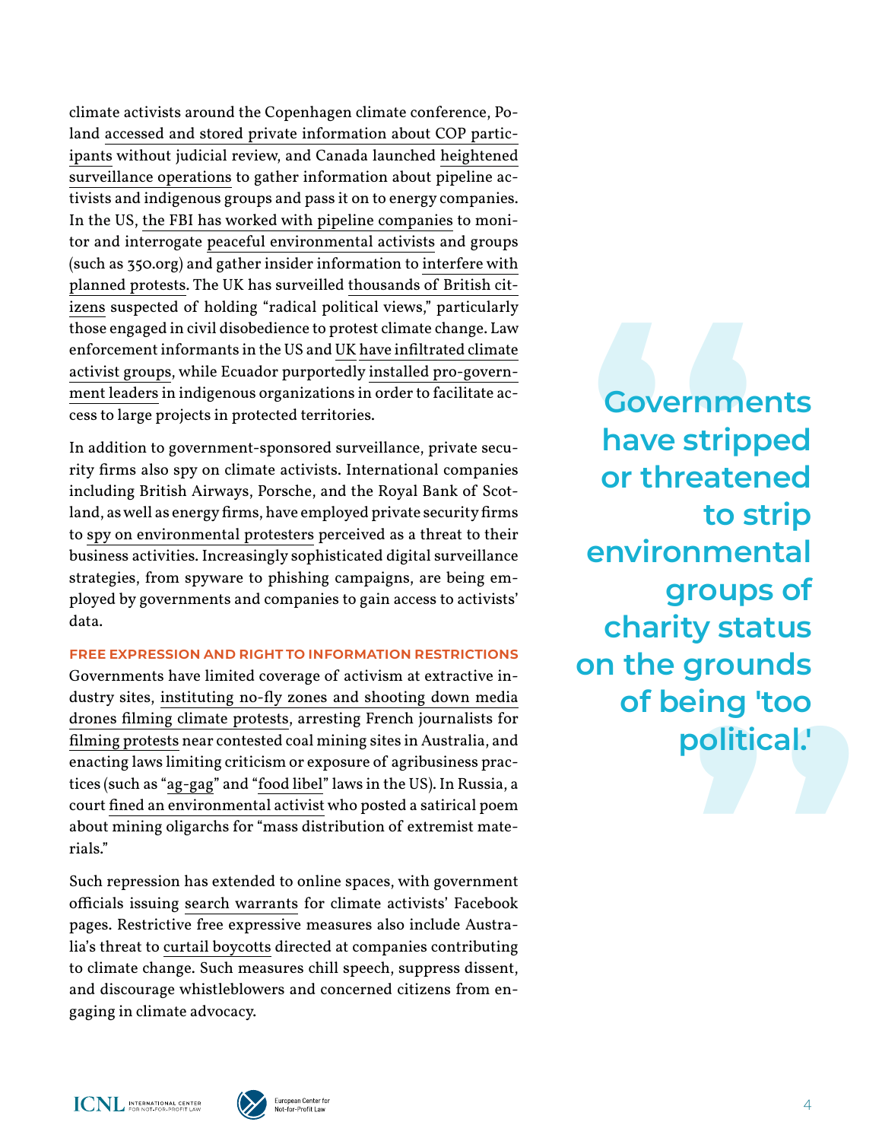climate activists around the Copenhagen climate conference, Poland [accessed and stored private information about COP partic](https://www.ohchr.org/EN/NewsEvents/Pages/DisplayNews.aspx?NewsID=23042&LangID=E)[ipants](https://www.ohchr.org/EN/NewsEvents/Pages/DisplayNews.aspx?NewsID=23042&LangID=E) without judicial review, and Canada launched [heightened](https://www.nationalobserver.com/2019/08/29/features/activists-csis-spying-revelations-were-cold-comfort)  [surveillance operations](https://www.nationalobserver.com/2019/08/29/features/activists-csis-spying-revelations-were-cold-comfort) to gather information about pipeline activists and indigenous groups and pass it on to energy companies. In the US, [the FBI has worked with pipeline companies](https://www.aclu.org/blog/free-speech/rights-protesters/6-ways-government-going-after-environmental-activists) to monitor and interrogate [peaceful environmental activists](https://www.theguardian.com/us-news/2018/dec/13/fbi-climate-change-protesters-iowa-files-monitoring-surveillance-) and groups (such as 350.org) and gather insider information to [interfere with](https://theintercept.com/2016/07/19/blm-fracking-protests/)  [planned protests](https://theintercept.com/2016/07/19/blm-fracking-protests/). The UK has surveilled [thousands of British cit](https://www.theguardian.com/environment/earth-insight/2014/jan/21/fracking-activism-protest-terrorist-oil-corporate-spies)[izens](https://www.theguardian.com/environment/earth-insight/2014/jan/21/fracking-activism-protest-terrorist-oil-corporate-spies) suspected of holding "radical political views," particularly those engaged in civil disobedience to protest climate change. Law enforcement informants in the US and [UK](https://www.theguardian.com/environment/2011/jul/20/police-spy-on-climate-activists-unlawful) [have infiltrated climate](https://theintercept.com/2017/12/11/standing-rock-dakota-access-pipeline-fbi-informant-red-fawn-fallis/) [activist groups](https://theintercept.com/2017/12/11/standing-rock-dakota-access-pipeline-fbi-informant-red-fawn-fallis/), while Ecuador purportedly [installed pro-govern](https://amazonwatch.org/news/2016/1104-ecuadors-indigenous-peoples-strengthen-resolve-to-protect-rights-and-resources)[ment leaders](https://amazonwatch.org/news/2016/1104-ecuadors-indigenous-peoples-strengthen-resolve-to-protect-rights-and-resources) in indigenous organizations in order to facilitate access to large projects in protected territories.

In addition to government-sponsored surveillance, private security firms also spy on climate activists. International companies including British Airways, Porsche, and the Royal Bank of Scotland, as well as energy firms, have employed private security firms to [spy on environmental protesters](https://www.theguardian.com/world/2017/dec/12/surveillance-firms-spied-on-campaign-groups-for-big-companies-leak-shows) perceived as a threat to their business activities. Increasingly sophisticated digital surveillance strategies, from spyware to phishing campaigns, are being employed by governments and companies to gain access to activists' data.

#### **Free expression and right to information restrictions**

Governments have limited coverage of activism at extractive industry sites, [instituting no-fly zones and shooting down media](https://theintercept.com/2017/09/29/standing-rock-dakota-access-pipeline-dapl-no-fly-zone-drones-tigerswan/) [drones filming climate protests](https://theintercept.com/2017/09/29/standing-rock-dakota-access-pipeline-dapl-no-fly-zone-drones-tigerswan/), arresting French journalists for [filming protests](https://www.dw.com/en/french-tv-crew-arrested-in-australia-at-anti-coal-protest/a-49689620) near contested coal mining sites in Australia, and enacting laws limiting criticism or exposure of agribusiness practices (such as "[ag-gag](https://www.npr.org/2019/01/10/683847157/court-strikes-down-iowas-ag-gag-law-that-blocked-undercover-investigations)" and ["food libel](https://cldc.org/aeta-veggie-libel/)" laws in the US). In Russia, a court [fined an environmental activist](https://www.sova-center.ru/misuse/news/persecution/2019/04/d40944/) who posted a satirical poem about mining oligarchs for "mass distribution of extremist materials."

Such repression has extended to online spaces, with government officials issuing [search warrants](https://theintercept.com/2018/01/14/facebook-warrant-pipeline-protest-whatcom-county-justice-department/) for climate activists' Facebook pages. Restrictive free expressive measures also include Australia's threat to [curtail boycotts](https://www.theguardian.com/australia-news/2019/nov/01/scott-morrison-threatens-crackdown-on-secondary-boycotts-of-mining-companies) directed at companies contributing to climate change. Such measures chill speech, suppress dissent, and discourage whistleblowers and concerned citizens from engaging in climate advocacy.

rounds<br>ing 'too<br>olitical.'<br>| **Covernments<br>
have stripped<br>
or threatened<br>
to strip have stripped or threatened to strip environmental groups of charity status on the grounds of being 'too political.'**

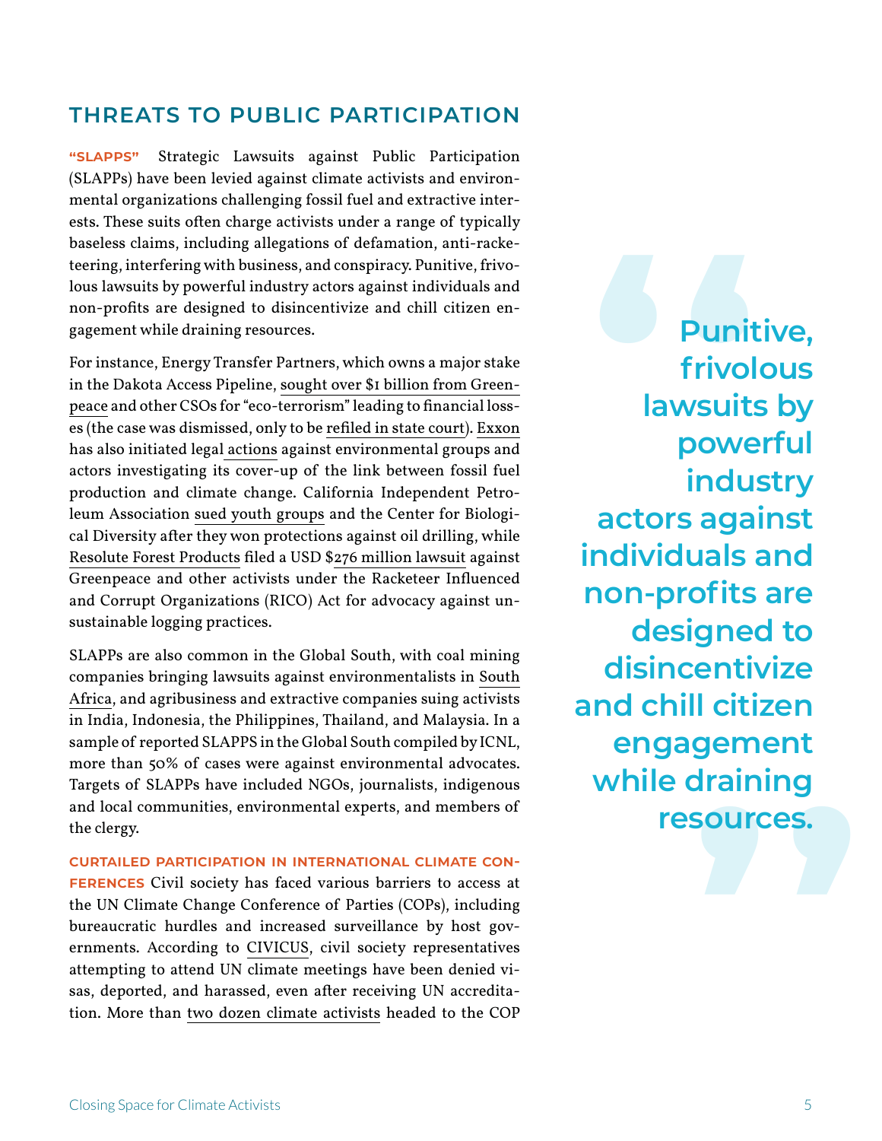### **THREATS TO PUBLIC PARTICIPATION**

**"SLAPPs"** Strategic Lawsuits against Public Participation (SLAPPs) have been levied against climate activists and environmental organizations challenging fossil fuel and extractive interests. These suits often charge activists under a range of typically baseless claims, including allegations of defamation, anti-racketeering, interfering with business, and conspiracy. Punitive, frivolous lawsuits by powerful industry actors against individuals and non-profits are designed to disincentivize and chill citizen engagement while draining resources.

For instance, Energy Transfer Partners, which owns a major stake in the Dakota Access Pipeline, [sought over \\$1 billion from Green](https://www.reuters.com/article/us-energy-transf-lawsuit/energy-transfer-sues-greenpeace-over-dakota-pipeline-idUSKCN1B2245)[peace](https://www.reuters.com/article/us-energy-transf-lawsuit/energy-transfer-sues-greenpeace-over-dakota-pipeline-idUSKCN1B2245) and other CSOs for "eco-terrorism" leading to financial losses (the case was dismissed, only to be [refiled in state court](https://apnews.com/c86795a2c7a64cb1b5c1f7e42c649dba)). [Exxon](https://www.climateliabilitynews.org/2017/10/19/climate-liability-oil-industry-intimidation/) has also initiated [legal actions](https://earthrights.org/blog/exxon-defeated-fraudsters-cannot-hide-behind-first-amendment/) against environmental groups and actors investigating its cover-up of the link between fossil fuel production and climate change. California Independent Petroleum Association [sued youth groups](https://www.biologicaldiversity.org/news/press_releases/2019/oil-industry-slapp-suit-02-15-2019.php) and the Center for Biological Diversity after they won protections against oil drilling, while [Resolute Forest Products](https://www.ciel.org/court-dismisses-slapp-environmental-activists/) filed a USD \$[276 million lawsuit](https://www.greenpeace.org/usa/resolute-case-dismissed/) against Greenpeace and other activists under the Racketeer Influenced and Corrupt Organizations (RICO) Act for advocacy against unsustainable logging practices.

SLAPPs are also common in the Global South, with coal mining companies bringing lawsuits against environmentalists in [South](https://www.business-humanrights.org/en/so-africa-victory-for-environmental-groups-as-slapp-suit-against-environmental-activist-is-withdrawn) [Africa,](https://www.business-humanrights.org/en/so-africa-victory-for-environmental-groups-as-slapp-suit-against-environmental-activist-is-withdrawn) and agribusiness and extractive companies suing activists in India, Indonesia, the Philippines, Thailand, and Malaysia. In a sample of reported SLAPPS in the Global South compiled by ICNL, more than 50% of cases were against environmental advocates. Targets of SLAPPs have included NGOs, journalists, indigenous and local communities, environmental experts, and members of the clergy.

**Curtailed participation in international climate conferences** Civil society has faced various barriers to access at the UN Climate Change Conference of Parties (COPs), including bureaucratic hurdles and increased surveillance by host governments. According to [CIVICUS,](https://www.civicus.org/documents/WeWillNotBeSilenced_eng_Nov19.pdf) civil society representatives attempting to attend UN climate meetings have been denied visas, deported, and harassed, even after receiving UN accreditation. More than [two dozen climate activists](https://www.reuters.com/article/us-climatechange-accord-civilliberties/activists-denied-access-to-poland-for-u-n-climate-talks-green-groups-say-idUSKBN1O70N6) headed to the COP

**gement<br>|raining<br>|ources.<br>|** Punitive,<br>
frivolous<br>
lawsuits by<br>
powerful **frivolous lawsuits by powerful industry actors against individuals and non-profits are designed to disincentivize and chill citizen engagement while draining resources.**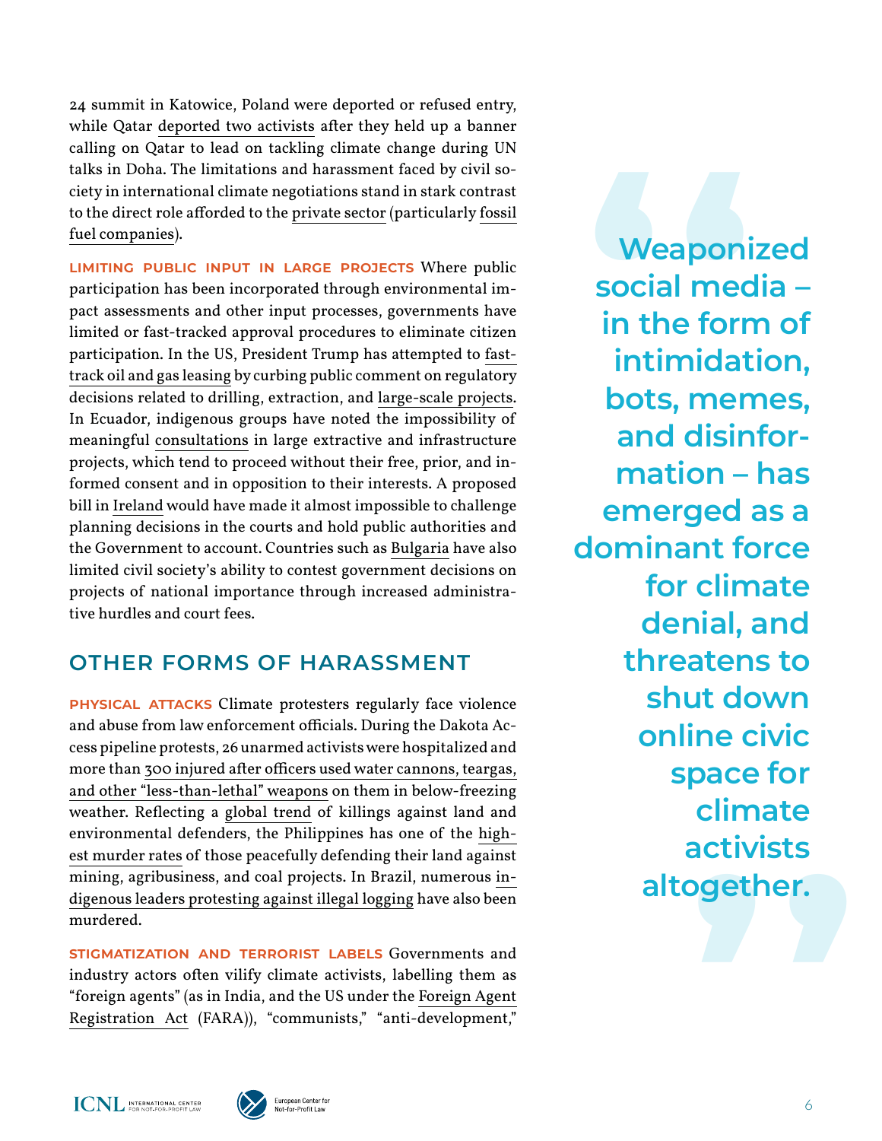24 summit in Katowice, Poland were deported or refused entry, while Qatar [deported two activists](https://www.arabianbusiness.com/activists-deported-after-doha-climate-protest-482029.html) after they held up a banner calling on Qatar to lead on tackling climate change during UN talks in Doha. The limitations and harassment faced by civil society in international climate negotiations stand in stark contrast to the direct role afforded to the [private sector](https://www.theguardian.com/environment/2019/sep/18/fossil-fuel-invite-only-forum-un-climate-summit) (particularly [fossil](https://www.theguardian.com/environment/2016/nov/07/marrakech-climate-talks-giving-the-fossil-fuel-lobby-a-seat-at-the-table)  [fuel companies](https://www.theguardian.com/environment/2016/nov/07/marrakech-climate-talks-giving-the-fossil-fuel-lobby-a-seat-at-the-table)).

**Limiting public input in large projects** Where public participation has been incorporated through environmental impact assessments and other input processes, governments have limited or fast-tracked approval procedures to eliminate citizen participation. In the US, President Trump has attempted to [fast](https://www.independent.co.uk/news/world/americas/trump-oil-gas-lease-drilling-grouse-energy-judge-ruling-public-land-a9366206.html)[track oil and gas leasing](https://www.independent.co.uk/news/world/americas/trump-oil-gas-lease-drilling-grouse-energy-judge-ruling-public-land-a9366206.html) by curbing public comment on regulatory decisions related to drilling, extraction, and [large-scale projects](https://www.nrdc.org/experts/sharon-buccino/proposed-nepa-rule-changes). In Ecuador, indigenous groups have noted the impossibility of meaningful [consultations](https://miningwatch.ca/blog/2019/8/23/shuar-arutam-people-ecuador-declare-territory-free-mining-reject-consultation?__cf_chl_jschl_tk__=0e3478b4d8a38eb00dfc8a193ac6fb497ee18e6b-1585151012-0-Aaw3VF54y-XM8tUZAVNEldFePC6M3_pcngVBu4y1hRypqCLDiWgqsOnWT-xEE074bqE58tN3JQl8oQJv69v9VRDGK6s-OMfgnso3gsPPdnxTuZwjRV-isFugPNRocb0iUm_HKfZx54Ov1-d3Rf5HiDhLoQlt0qIe6ZANUR6bve9DMzatrJVYEQjotaIF7Fo-iOAdmj8sAC9VB2bZH8xSvQL8KvZFbCpL9Q4VuVHrkFEfI27phrzDW7KmRY_DMdbywQKkj1nCKTzl76gQztWioDTWhBRHiQj3NIy7e8mQ9gCvHaNEG9wvnqSLWKjP8e6gqaViXE00kmAk8xGiV58x5U3xoalDkRO1RPG50m2YuP3KVpWNo4W-kYUH6Bpfvo78k2rH2KbfziV-5wfYMTUf0WI) in large extractive and infrastructure projects, which tend to proceed without their free, prior, and informed consent and in opposition to their interests. A proposed bill in [Ireland](https://myemail.constantcontact.com/Environmental-groups-shocked-at-proposed-planning-Bill.html?soid=1101987987876&aid=5EAo-oy6fUs) would have made it almost impossible to challenge planning decisions in the courts and hold public authorities and the Government to account. Countries such as [Bulgaria](http://bcnl.org/uploadfiles/documents/%40CSOSI%20Bulgaria%202017(1).pdf) have also limited civil society's ability to contest government decisions on projects of national importance through increased administrative hurdles and court fees.

# **OTHER FORMS OF HARASSMENT**

**PHYSICAL ATTACKS** Climate protesters regularly face violence and abuse from law enforcement officials. During the Dakota Access pipeline protests, 26 unarmed activists were hospitalized and more than [300 injured after officers used water cannons, teargas,](https://www.theguardian.com/us-news/2016/nov/21/dakota-access-pipeline-water-cannon-police-standing-rock-protest)  [and other "less-than-lethal" weapons](https://www.theguardian.com/us-news/2016/nov/21/dakota-access-pipeline-water-cannon-police-standing-rock-protest) on them in below-freezing weather. Reflecting a [global trend](https://www.globalwitness.org/en/campaigns/environmental-activists/enemies-state/) of killings against land and environmental defenders, the Philippines has one of the [high](https://www.globalwitness.org/en/campaigns/environmental-activists/enemies-state/)[est murder rates](https://www.globalwitness.org/en/campaigns/environmental-activists/enemies-state/) of those peacefully defending their land against mining, agribusiness, and coal projects. In Brazil, numerous [in](https://news.mongabay.com/2019/12/murders-of-indigenous-leaders-in-brazil-amazon-hit-highest-level-in-two-decades/)[digenous leaders protesting against illegal logging](https://news.mongabay.com/2019/12/murders-of-indigenous-leaders-in-brazil-amazon-hit-highest-level-in-two-decades/) have also been murdered.

**Stigmatization and terrorist labels** Governments and industry actors often vilify climate activists, labelling them as "foreign agents" (as in India, and the US under the [Foreign Agent](https://www.politico.com/newsletters/politico-influence/2019/09/25/van-grack-discusses-how-hes-running-the-fara-unit-480955)  [Registration Act](https://www.politico.com/newsletters/politico-influence/2019/09/25/van-grack-discusses-how-hes-running-the-fara-unit-480955) (FARA)), "communists," "anti-development,"

climate<br>|ctivists<br>|gether.<br>| **Weaponized social media – in the form of intimidation, bots, memes, and disinformation – has emerged as a dominant force for climate denial, and threatens to shut down online civic space for climate activists altogether.**

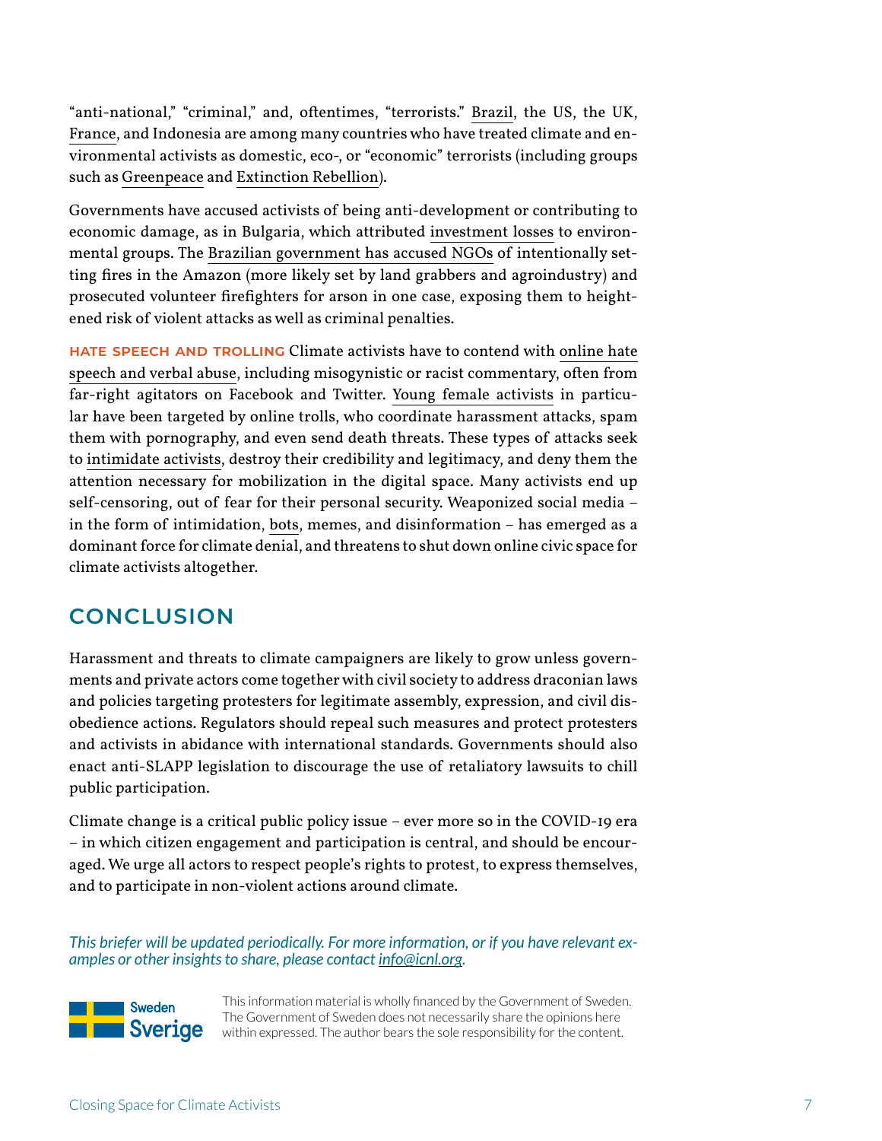"anti-national," "criminal," and, oftentimes, "terrorists." [Brazil](https://e360.yale.edu/features/why-brazils-new-president-poses-an-unprecedented-threat-to-the-amazon), the US, the UK, [France,](https://www.climatechangenews.com/2019/04/03/french-police-tap-counter-terrorism-unit-quell-climate-activists/) and Indonesia are among many countries who have treated climate and environmental activists as domestic, eco-, or "economic" terrorists (including groups such as [Greenpeace](https://www.theguardian.com/uk-news/2020/jan/17/greenpeace-included-with-neo-nazis-on-uk-counter-terror-list) and [Extinction Rebellion\)](https://www.theguardian.com/environment/2020/jan/27/terror-police-list-extinction-rebellion-shared-across-government).

Governments have accused activists of being anti-development or contributing to economic damage, as in Bulgaria, which attributed [investment losses](https://www.fhi360.org/sites/default/files/media/documents/resource-csosi-2018-report-europe-eurasia.pdf) to environmental groups. The [Brazilian government has accused NGOs](https://www.aljazeera.com/news/2019/08/brazil-groups-dispute-bolsonaro-claim-ngos-amazon-fires-190821193510317.html) of intentionally setting fires in the Amazon (more likely set by land grabbers and agroindustry) and prosecuted volunteer firefighters for arson in one case, exposing them to heightened risk of violent attacks as well as criminal penalties.

**Hate speech and trolling** Climate activists have to contend with [online hate](https://www.nbcnews.com/news/world/young-female-climate-activists-face-hateful-abuse-online-how-they-n1079376)  [speech and verbal abuse](https://www.nbcnews.com/news/world/young-female-climate-activists-face-hateful-abuse-online-how-they-n1079376), including misogynistic or racist commentary, often from far-right agitators on Facebook and Twitter. [Young female activists](https://www.usatoday.com/story/news/nation/2019/10/02/climate-change-activist-greta-thunberg-targeted-online-trolls/3843196002/) in particular have been targeted by online trolls, who coordinate harassment attacks, spam them with pornography, and even send death threats. These types of attacks seek to [intimidate activists](https://ap.ohchr.org/documents/dpage_e.aspx?si=A/HRC/41/41), destroy their credibility and legitimacy, and deny them the attention necessary for mobilization in the digital space. Many activists end up self-censoring, out of fear for their personal security. Weaponized social media – in the form of intimidation, [bots,](https://www.theguardian.com/technology/2020/feb/21/climate-tweets-twitter-bots-analysis) memes, and disinformation – has emerged as a dominant force for climate denial, and threatens to shut down online civic space for climate activists altogether.

# **CONCLUSION**

Harassment and threats to climate campaigners are likely to grow unless governments and private actors come together with civil society to address draconian laws and policies targeting protesters for legitimate assembly, expression, and civil disobedience actions. Regulators should repeal such measures and protect protesters and activists in abidance with international standards. Governments should also enact anti-SLAPP legislation to discourage the use of retaliatory lawsuits to chill public participation.

Climate change is a critical public policy issue – ever more so in the COVID-19 era – in which citizen engagement and participation is central, and should be encouraged. We urge all actors to respect people's rights to protest, to express themselves, and to participate in non-violent actions around climate.

*This briefer will be updated periodically. For more information, or if you have relevant examples or other insights to share, please contact [info@icnl.org](mailto:info@icnl.org).* 



This information material is wholly financed by the Government of Sweden. The Government of Sweden does not necessarily share the opinions here within expressed. The author bears the sole responsibility for the content.